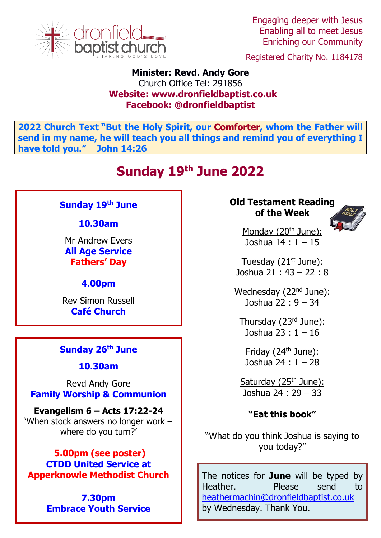

Engaging deeper with Jesus Enabling all to meet Jesus Enriching our Community

Registered Charity No. 1184178

#### **Minister: Revd. Andy Gore** Church Office Tel: 291856  **Website: [www.dronfieldbaptist.co.uk](http://www.dronfieldbaptist.co.uk/) Facebook: @dronfieldbaptist**

**2022 Church Text "But the Holy Spirit, our Comforter, whom the Father will send in my name, he will teach you all things and remind you of everything I have told you." John 14:26**

# **Sunday 19 th June 2022**

### **Sunday 19th June**

**10.30am**

Mr Andrew Evers **All Age Service Fathers' Day**

# **4.00pm**

Rev Simon Russell **Café Church**

#### **Sunday 26th June**

### **10.30am**

Revd Andy Gore **Family Worship & Communion**

**Evangelism 6 – Acts 17:22-24** 'When stock answers no longer work – where do you turn?'

**5.00pm (see poster) CTDD United Service at Apperknowle Methodist Church**

> **7.30pm Embrace Youth Service**

#### **Old Testament Reading of the Week**



Monday (20<sup>th</sup> June):  $\overline{\phantom{0}}$   $\overline{\phantom{0}}$   $\overline{\phantom{0}}$   $\overline{\phantom{0}}$   $\overline{\phantom{0}}$   $\overline{\phantom{0}}$   $\overline{\phantom{0}}$   $\overline{\phantom{0}}$   $\overline{\phantom{0}}$   $\overline{\phantom{0}}$   $\overline{\phantom{0}}$   $\overline{\phantom{0}}$   $\overline{\phantom{0}}$   $\overline{\phantom{0}}$   $\overline{\phantom{0}}$   $\overline{\phantom{0}}$   $\overline{\phantom{0}}$   $\overline{\phantom{0}}$   $\overline{\$ 

Tuesday (21<sup>st</sup> June): Joshua 21 : 43 – 22 : 8

Wednesday (22<sup>nd</sup> June): Joshua 22 : 9 – 34

Thursday (23rd June): Joshua 23 : 1 – 16

Friday (24<sup>th</sup> June): Joshua 24 : 1 – 28

Saturday (25<sup>th</sup> June): Joshua 24 : 29 – 33

### **"Eat this book"**

"What do you think Joshua is saying to you today?"

The notices for **June** will be typed by Heather. Please send to [heathermachin@dronfieldbaptist.co.uk](mailto:heathermachin@dronfieldbaptist.co.uk) by Wednesday. Thank You.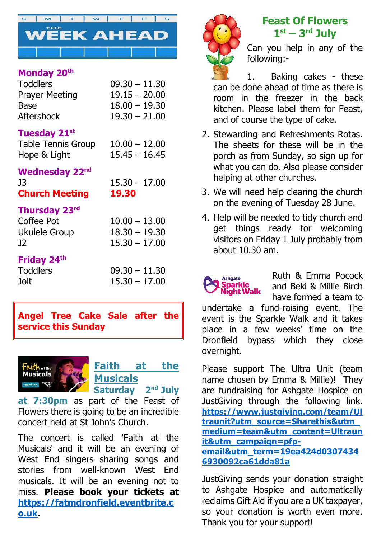

#### **Monday 20th**

| <b>Toddlers</b>       | $09.30 - 11.30$ |
|-----------------------|-----------------|
| <b>Prayer Meeting</b> | $19.15 - 20.00$ |
| <b>Base</b>           | $18.00 - 19.30$ |
| Aftershock            | $19.30 - 21.00$ |
|                       |                 |

#### **Tuesday 21st**

| <b>Table Tennis Group</b> | $10.00 - 12.00$ |
|---------------------------|-----------------|
| Hope & Light              | $15.45 - 16.45$ |

## **Wednesday 22nd**

J3 15.30 – 17.00 **Church Meeting 19.30**

### **Thursday 23rd**

| $10.00 - 13.00$ |
|-----------------|
| $18.30 - 19.30$ |
| $15.30 - 17.00$ |
|                 |

### **Friday 24th**

| <b>Toddlers</b> | $09.30 - 11.30$ |
|-----------------|-----------------|
| Jolt            | $15.30 - 17.00$ |

**Angel Tree Cake Sale after the service this Sunday**





**at 7:30pm** as part of the Feast of Flowers there is going to be an incredible concert held at St John's Church.

The concert is called 'Faith at the Musicals' and it will be an evening of West End singers sharing songs and stories from well-known West End musicals. It will be an evening not to miss. **Please book your tickets at [https://fatmdronfield.eventbrite.c](https://fatmdronfield.eventbrite.co.uk/) [o.uk](https://fatmdronfield.eventbrite.co.uk/)**.



## **Feast Of Flowers 1 st – 3 rd July**

Can you help in any of the following:-

1. Baking cakes - these can be done ahead of time as there is room in the freezer in the back kitchen. Please label them for Feast, and of course the type of cake.

- 2. Stewarding and Refreshments Rotas. The sheets for these will be in the porch as from Sunday, so sign up for what you can do. Also please consider helping at other churches.
- 3. We will need help clearing the church on the evening of Tuesday 28 June.
- 4. Help will be needed to tidy church and get things ready for welcoming visitors on Friday 1 July probably from about 10.30 am.

Ruth & Emma Pocock **Ashqate** Sparkle and Beki & Millie Birch **Night Walk** have formed a team to undertake a fund-raising event. The event is the Sparkle Walk and it takes place in a few weeks' time on the Dronfield bypass which they close overnight.

Please support The Ultra Unit (team name chosen by Emma & Millie)! They are fundraising for Ashgate Hospice on JustGiving through the following link. **[https://www.justgiving.com/team/Ul](https://www.justgiving.com/team/Ultraunit?utm_source=Sharethis&utm_medium=team&utm_content=Ultraunit&utm_campaign=pfp-email&utm_term=19ea424d03074346930092ca61dda81a) [traunit?utm\\_source=Sharethis&utm\\_](https://www.justgiving.com/team/Ultraunit?utm_source=Sharethis&utm_medium=team&utm_content=Ultraunit&utm_campaign=pfp-email&utm_term=19ea424d03074346930092ca61dda81a) [medium=team&utm\\_content=Ultraun](https://www.justgiving.com/team/Ultraunit?utm_source=Sharethis&utm_medium=team&utm_content=Ultraunit&utm_campaign=pfp-email&utm_term=19ea424d03074346930092ca61dda81a) [it&utm\\_campaign=pfp](https://www.justgiving.com/team/Ultraunit?utm_source=Sharethis&utm_medium=team&utm_content=Ultraunit&utm_campaign=pfp-email&utm_term=19ea424d03074346930092ca61dda81a)[email&utm\\_term=19ea424d0307434](https://www.justgiving.com/team/Ultraunit?utm_source=Sharethis&utm_medium=team&utm_content=Ultraunit&utm_campaign=pfp-email&utm_term=19ea424d03074346930092ca61dda81a) [6930092ca61dda81a](https://www.justgiving.com/team/Ultraunit?utm_source=Sharethis&utm_medium=team&utm_content=Ultraunit&utm_campaign=pfp-email&utm_term=19ea424d03074346930092ca61dda81a)**

JustGiving sends your donation straight to Ashgate Hospice and automatically reclaims Gift Aid if you are a UK taxpayer, so your donation is worth even more. Thank you for your support!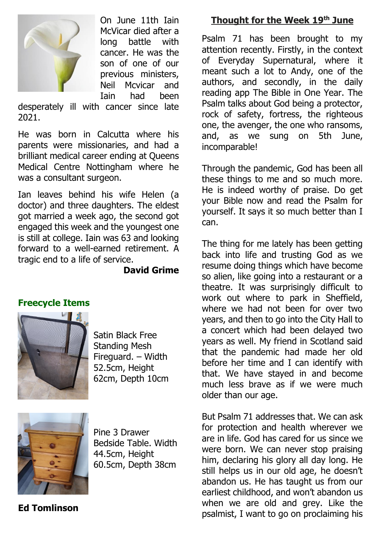

On June 11th Iain McVicar died after a long battle with cancer. He was the son of one of our previous ministers, Neil Mcvicar and Iain had been

desperately ill with cancer since late 2021.

He was born in Calcutta where his parents were missionaries, and had a brilliant medical career ending at Queens Medical Centre Nottingham where he was a consultant surgeon.

Ian leaves behind his wife Helen (a doctor) and three daughters. The eldest got married a week ago, the second got engaged this week and the youngest one is still at college. Iain was 63 and looking forward to a well-earned retirement. A tragic end to a life of service.

#### **David Grime**

### **Freecycle Items**



Satin Black Free Standing Mesh Fireguard. – Width 52.5cm, Height 62cm, Depth 10cm



Pine 3 Drawer Bedside Table. Width 44.5cm, Height 60.5cm, Depth 38cm

**Ed Tomlinson**

### **Thought for the Week 19 th June**

Psalm 71 has been brought to my attention recently. Firstly, in the context of Everyday Supernatural, where it meant such a lot to Andy, one of the authors, and secondly, in the daily reading app The Bible in One Year. The Psalm talks about God being a protector, rock of safety, fortress, the righteous one, the avenger, the one who ransoms, and, as we sung on 5th June, incomparable!

Through the pandemic, God has been all these things to me and so much more. He is indeed worthy of praise. Do get your Bible now and read the Psalm for yourself. It says it so much better than I can.

The thing for me lately has been getting back into life and trusting God as we resume doing things which have become so alien, like going into a restaurant or a theatre. It was surprisingly difficult to work out where to park in Sheffield, where we had not been for over two years, and then to go into the City Hall to a concert which had been delayed two years as well. My friend in Scotland said that the pandemic had made her old before her time and I can identify with that. We have stayed in and become much less brave as if we were much older than our age.

But Psalm 71 addresses that. We can ask for protection and health wherever we are in life. God has cared for us since we were born. We can never stop praising him, declaring his glory all day long. He still helps us in our old age, he doesn't abandon us. He has taught us from our earliest childhood, and won't abandon us when we are old and grey. Like the psalmist, I want to go on proclaiming his